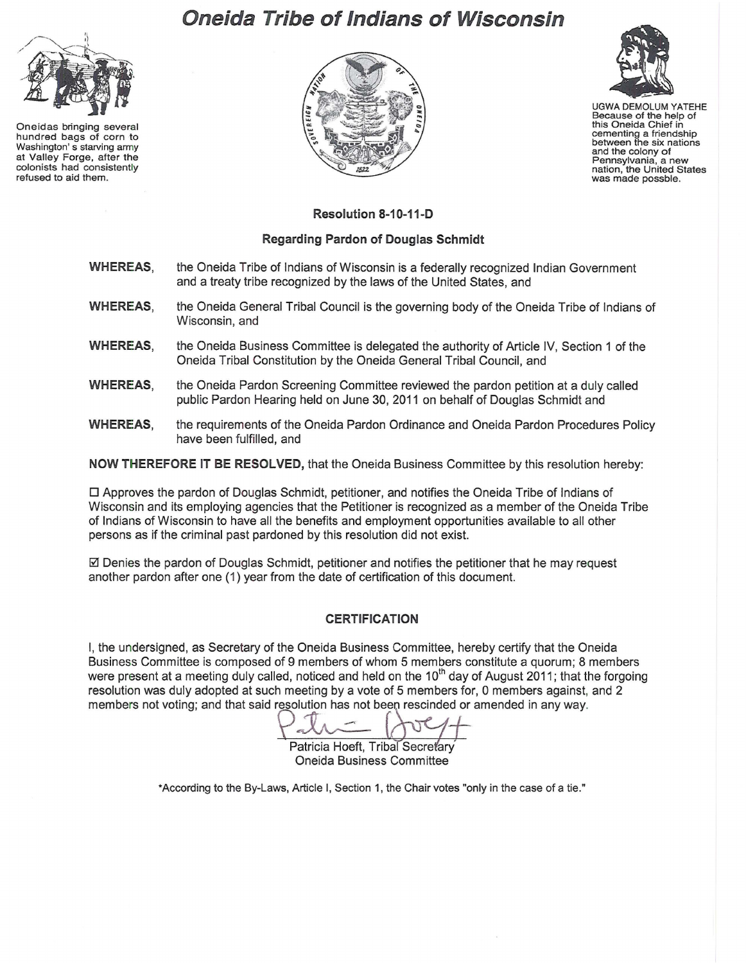## **Oneida Tribe of Indians of Wisconsin**



Oneidas bringing several hundred bags of corn to Washington' s starving army at Valley Forge, after the colonists had consistently refused to aid them.





UGWA DEMOLUM YATEHE Because of the help of this Oneida Chief in cementing a friendship between the six nations and the colony of<br>Pennsylvania, a new nation, the United States<br>was made possble.

**Resolution 8-1 0-11-D** 

## **Regarding Pardon of Douglas Schmidt**

- **WHEREAS,**  the Oneida Tribe of Indians of Wisconsin is a federally recognized Indian Government and a treaty tribe recognized by the laws of the United States, and
- **WHEREAS,**  the Oneida General Tribal Council is the governing body of the Oneida Tribe of Indians of Wisconsin, and
- **WHEREAS,**  the Oneida Business Committee is delegated the authority of Article IV, Section 1 of the Oneida Tribal Constitution by the Oneida General Tribal Council, and
- **WHEREAS,**  the Oneida Pardon Screening Committee reviewed the pardon petition at a duly called public Pardon Hearing held on June 30, 2011 on behalf of Douglas Schmidt and
- **WHEREAS,**  the requirements of the Oneida Pardon Ordinance and Oneida Pardon Procedures Policy have been fulfilled, and

**NOW THEREFORE IT BE RESOLVED,** that the Oneida Business Committee by this resolution hereby:

 $\Box$  Approves the pardon of Douglas Schmidt, petitioner, and notifies the Oneida Tribe of Indians of Wisconsin and its employing agencies that the Petitioner is recognized as a member of the Oneida Tribe of Indians of Wisconsin to have all the benefits and employment opportunities available to all other persons as if the criminal past pardoned by this resolution did not exist.

 $\boxtimes$  Denies the pardon of Douglas Schmidt, petitioner and notifies the petitioner that he may request another pardon after one (1) year from the date of certification of this document.

## **CERTIFICATION**

I, the undersigned, as Secretary of the Oneida Business Committee, hereby certify that the Oneida Business Committee is composed of 9 members of whom 5 members constitute a quorum; 8 members were present at a meeting duly called, noticed and held on the 10<sup>th</sup> day of August 2011; that the forgoing resolution was duly adopted at such meeting by a vote of 5 members for, 0 members against, and 2 members not voting; and that said resolution has not been rescinded or amended in any way.

Patricia Hoeft, Tribal Secretary Oneida Business Committee

\*According to the By-Laws, Article I, Section 1, the Chair votes "only in the case of a tie."